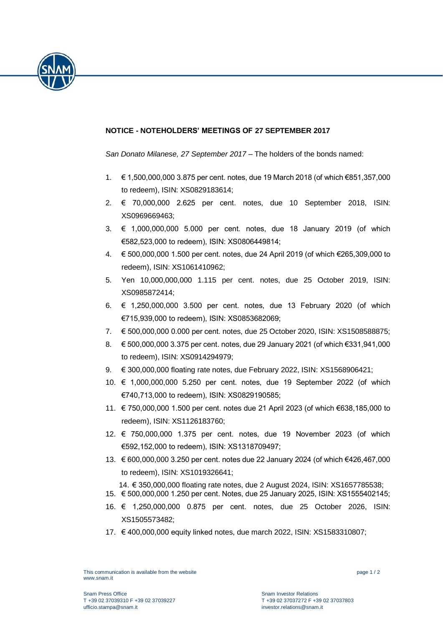

## **NOTICE - NOTEHOLDERS' MEETINGS OF 27 SEPTEMBER 2017**

*San Donato Milanese, 27 September 2017* – The holders of the bonds named:

- 1. € 1,500,000,000 3.875 per cent. notes, due 19 March 2018 (of which €851,357,000 to redeem), ISIN: XS0829183614;
- 2. € 70,000,000 2.625 per cent. notes, due 10 September 2018, ISIN: XS0969669463;
- 3. € 1,000,000,000 5.000 per cent. notes, due 18 January 2019 (of which €582,523,000 to redeem), ISIN: XS0806449814;
- 4. € 500,000,000 1.500 per cent. notes, due 24 April 2019 (of which €265,309,000 to redeem), ISIN: XS1061410962;
- 5. Yen 10,000,000,000 1.115 per cent. notes, due 25 October 2019, ISIN: XS0985872414;
- 6. € 1,250,000,000 3.500 per cent. notes, due 13 February 2020 (of which €715,939,000 to redeem), ISIN: XS0853682069;
- 7. € 500,000,000 0.000 per cent. notes, due 25 October 2020, ISIN: XS1508588875;
- 8. € 500,000,000 3.375 per cent. notes, due 29 January 2021 (of which €331,941,000 to redeem), ISIN: XS0914294979;
- 9. € 300,000,000 floating rate notes, due February 2022, ISIN: XS1568906421;
- 10. € 1,000,000,000 5.250 per cent. notes, due 19 September 2022 (of which €740,713,000 to redeem), ISIN: XS0829190585;
- 11. € 750,000,000 1.500 per cent. notes due 21 April 2023 (of which €638,185,000 to redeem), ISIN: XS1126183760;
- 12. € 750,000,000 1.375 per cent. notes, due 19 November 2023 (of which €592,152,000 to redeem), ISIN: XS1318709497;
- 13. € 600,000,000 3.250 per cent. notes due 22 January 2024 (of which €426,467,000 to redeem), ISIN: XS1019326641;

14. € 350,000,000 floating rate notes, due 2 August 2024, ISIN: XS1657785538;

- 15. € 500,000,000 1.250 per cent. Notes, due 25 January 2025, ISIN: XS1555402145;
- 16. € 1,250,000,000 0.875 per cent. notes, due 25 October 2026, ISIN: XS1505573482;
- 17. € 400,000,000 equity linked notes, due march 2022, ISIN: XS1583310807;

This communication is available from the website www.snam.it

page 1 / 2